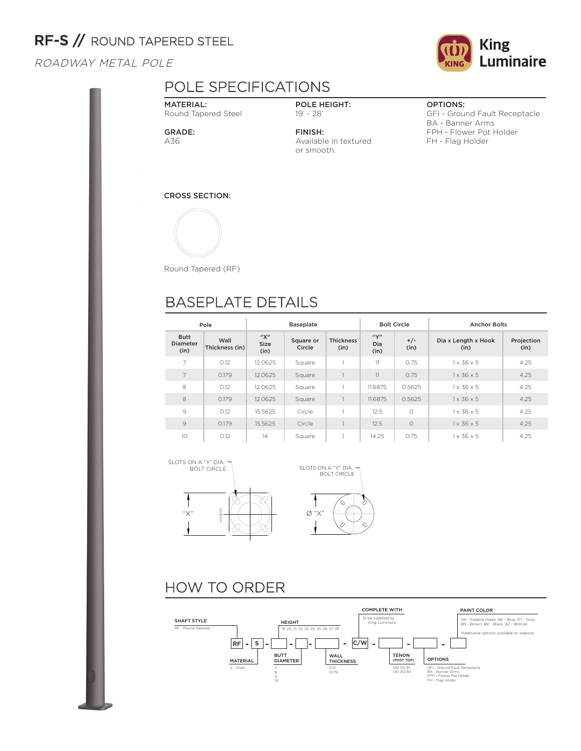# RF-S // ROUND TAPERED STEEL

ROADWAY METAL POLE

## POLE SPECIFICATIONS

MATERIAL: Round Tapered Steel

GRADE: A36

POLE HEIGHT: 19' - 28'

FINISH: Available in textured or smooth.

#### OPTIONS:

GFI - Ground Fault Receptacle BA - Banner Arms FPH - Flower Pot Holder FH - Flag Holder

CROSS SECTION:



Round Tapered (RF)

## BASEPLATE DETAILS

|                                        | Pole                   |                     | <b>Baseplate</b>    |                          |                     | <b>Bolt Circle</b> | <b>Anchor Bolts</b>         |                    |  |
|----------------------------------------|------------------------|---------------------|---------------------|--------------------------|---------------------|--------------------|-----------------------------|--------------------|--|
| <b>Butt</b><br><b>Diameter</b><br>(in) | Wall<br>Thickness (in) | "Х"<br>Size<br>(in) | Square or<br>Circle | <b>Thickness</b><br>(in) | ``Y"<br>Dia<br>(in) | $+/-$<br>(in)      | Dia x Length x Hook<br>(in) | Projection<br>(in) |  |
| $\overline{7}$                         | 0.12                   | 12.0625             | Square              |                          | 11                  | 0.75               | $1 \times 36 \times 5$      | 4.25               |  |
| $\overline{7}$                         | 0.179                  | 12.0625             | Square              |                          | 11                  | 0.75               | $1 \times 36 \times 5$      | 4.25               |  |
| 8                                      | 0.12                   | 12.0625             | Square              |                          | 11.6875             | 0.5625             | $1 \times 36 \times 5$      | 4.25               |  |
| 8                                      | 0.179                  | 12.0625             | Square              |                          | 11.6875             | 0.5625             | $1 \times 36 \times 5$      | 4.25               |  |
| 9                                      | 0.12                   | 15.5625             | Circle              |                          | 12.5                | $\circ$            | $1 \times 36 \times 5$      | 4.25               |  |
| $\mathcal{Q}$                          | 0.179                  | 15.5625             | Circle              |                          | 12.5                | $\circ$            | $1 \times 36 \times 5$      | 4.25               |  |
| 10                                     | 0.12                   | 14                  | Square              |                          | 14.25               | 0.75               | $1 \times 36 \times 5$      | 4.25               |  |





# HOW TO ORDER



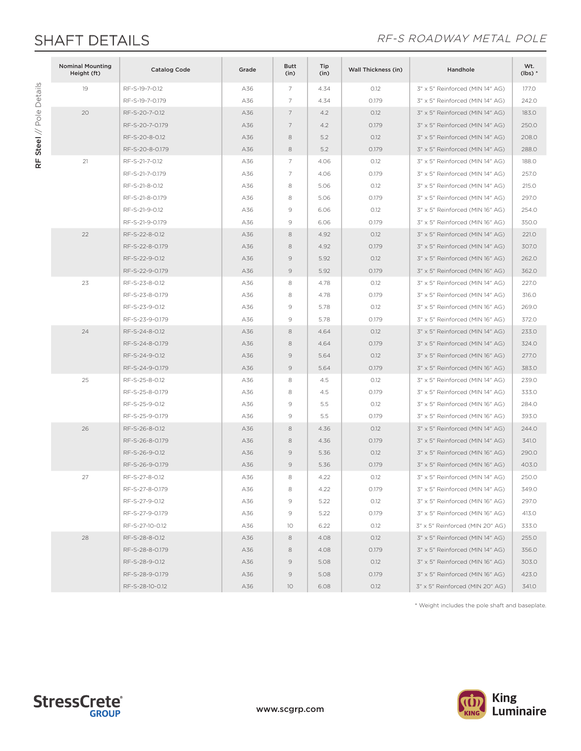RF Steel // Pole Details

RF Steel // Pole Details

### SHAFT DETAILS **EXECUTE:** THE RE-S ROADWAY METAL POLE

| <b>Nominal Mounting</b><br>Height (ft) | <b>Catalog Code</b> | Grade | <b>Butt</b><br>(in) | Tip<br>(in) | <b>Wall Thickness (in)</b> | Handhole                        | Wt.<br>$(lbs)*$ |
|----------------------------------------|---------------------|-------|---------------------|-------------|----------------------------|---------------------------------|-----------------|
| 19                                     | RF-S-19-7-0.12      | A36   | 7                   | 4.34        | 0.12                       | 3" x 5" Reinforced (MIN 14" AG) | 177.0           |
|                                        | RF-S-19-7-0.179     | A36   | 7                   | 4.34        | 0.179                      | 3" x 5" Reinforced (MIN 14" AG) | 242.0           |
| 20                                     | RF-S-20-7-0.12      | A36   | 7                   | 4.2         | 0.12                       | 3" x 5" Reinforced (MIN 14" AG) | 183.0           |
|                                        | RF-S-20-7-0.179     | A36   | 7                   | 4.2         | 0.179                      | 3" x 5" Reinforced (MIN 14" AG) | 250.0           |
|                                        | RF-S-20-8-0.12      | A36   | 8                   | 5.2         | 0.12                       | 3" x 5" Reinforced (MIN 14" AG) | 208.0           |
|                                        | RF-S-20-8-0.179     | A36   | 8                   | 5.2         | 0.179                      | 3" x 5" Reinforced (MIN 14" AG) | 288.0           |
| 21                                     | RF-S-21-7-0.12      | A36   | $\overline{7}$      | 4.06        | 0.12                       | 3" x 5" Reinforced (MIN 14" AG) | 188.0           |
|                                        | RF-S-21-7-0.179     | A36   | $\overline{7}$      | 4.06        | 0.179                      | 3" x 5" Reinforced (MIN 14" AG) | 257.0           |
|                                        | RF-S-21-8-0.12      | A36   | 8                   | 5.06        | O.12                       | 3" x 5" Reinforced (MIN 14" AG) | 215.0           |
|                                        | RF-S-21-8-0.179     | A36   | 8                   | 5.06        | 0.179                      | 3" x 5" Reinforced (MIN 14" AG) | 297.0           |
|                                        | RF-S-21-9-0.12      | A36   | 9                   | 6.06        | 0.12                       | 3" x 5" Reinforced (MIN 16" AG) | 254.0           |
|                                        | RF-S-21-9-0.179     | A36   | $\mathcal{G}$       | 6.06        | 0.179                      | 3" x 5" Reinforced (MIN 16" AG) | 350.0           |
| 22                                     | RF-S-22-8-0.12      | A36   | 8                   | 4.92        | O.12                       | 3" x 5" Reinforced (MIN 14" AG) | 221.0           |
|                                        | RF-S-22-8-0.179     | A36   | 8                   | 4.92        | 0.179                      | 3" x 5" Reinforced (MIN 14" AG) | 307.0           |
|                                        | RF-S-22-9-0.12      | A36   | 9                   | 5.92        | 0.12                       | 3" x 5" Reinforced (MIN 16" AG) | 262.0           |
|                                        | RF-S-22-9-0.179     | A36   | $\mathcal{Q}$       | 5.92        | 0.179                      | 3" x 5" Reinforced (MIN 16" AG) | 362.0           |
| 23                                     | RF-S-23-8-0.12      | A36   | 8                   | 4.78        | 0.12                       | 3" x 5" Reinforced (MIN 14" AG) | 227.0           |
|                                        | RF-S-23-8-0.179     | A36   | 8                   | 4.78        | 0.179                      | 3" x 5" Reinforced (MIN 14" AG) | 316.0           |
|                                        | RF-S-23-9-0.12      | A36   | 9                   | 5.78        | 0.12                       | 3" x 5" Reinforced (MIN 16" AG) | 269.0           |
|                                        | RF-S-23-9-0.179     | A36   | $\mathcal{G}$       | 5.78        | 0.179                      | 3" x 5" Reinforced (MIN 16" AG) | 372.0           |
| 24                                     | RF-S-24-8-0.12      | A36   | 8                   | 4.64        | 0.12                       | 3" x 5" Reinforced (MIN 14" AG) | 233.0           |
|                                        | RF-S-24-8-0.179     | A36   | 8                   | 4.64        | 0.179                      | 3" x 5" Reinforced (MIN 14" AG) | 324.0           |
|                                        | RF-S-24-9-0.12      | A36   | 9                   | 5.64        | 0.12                       | 3" x 5" Reinforced (MIN 16" AG) | 277.0           |
|                                        | RF-S-24-9-0.179     | A36   | $\mathcal{Q}$       | 5.64        | 0.179                      | 3" x 5" Reinforced (MIN 16" AG) | 383.0           |
| 25                                     | RF-S-25-8-0.12      | A36   | 8                   | 4.5         | 0.12                       | 3" x 5" Reinforced (MIN 14" AG) | 239.0           |
|                                        | RF-S-25-8-0.179     | A36   | 8                   | 4.5         | 0.179                      | 3" x 5" Reinforced (MIN 14" AG) | 333.0           |
|                                        | RF-S-25-9-0.12      | A36   | $\mathcal{G}$       | 5.5         | 0.12                       | 3" x 5" Reinforced (MIN 16" AG) | 284.0           |
|                                        | RF-S-25-9-0.179     | A36   | 9                   | 5.5         | 0.179                      | 3" x 5" Reinforced (MIN 16" AG) | 393.0           |
| 26                                     | RF-S-26-8-0.12      | A36   | 8                   | 4.36        | 0.12                       | 3" x 5" Reinforced (MIN 14" AG) | 244.0           |
|                                        | RF-S-26-8-0.179     | A36   | 8                   | 4.36        | 0.179                      | 3" x 5" Reinforced (MIN 14" AG) | 341.0           |
|                                        | RF-S-26-9-0.12      | A36   | $\mathcal{G}$       | 5.36        | 0.12                       | 3" x 5" Reinforced (MIN 16" AG) | 290.0           |
|                                        | RF-S-26-9-0.179     | A36   | 9                   | 5.36        | 0.179                      | 3" x 5" Reinforced (MIN 16" AG) | 403.0           |
| 27                                     | RF-S-27-8-0.12      | A36   | 8                   | 4.22        | 0.12                       | 3" x 5" Reinforced (MIN 14" AG) | 250.0           |
|                                        | RF-S-27-8-0.179     | A36   | 8                   | 4.22        | 0.179                      | 3" x 5" Reinforced (MIN 14" AG) | 349.0           |
|                                        | RF-S-27-9-0.12      | A36   | 9                   | 5.22        | 0.12                       | 3" x 5" Reinforced (MIN 16" AG) | 297.0           |
|                                        | RF-S-27-9-0.179     | A36   | 9                   | 5.22        | 0.179                      | 3" x 5" Reinforced (MIN 16" AG) | 413.0           |
|                                        | RF-S-27-10-0.12     | A36   | 10                  | 6.22        | 0.12                       | 3" x 5" Reinforced (MIN 20" AG) | 333.0           |
| 28                                     | RF-S-28-8-0.12      | A36   | 8                   | 4.08        | 0.12                       | 3" x 5" Reinforced (MIN 14" AG) | 255.0           |
|                                        | RF-S-28-8-0.179     | A36   | 8                   | 4.08        | 0.179                      | 3" x 5" Reinforced (MIN 14" AG) | 356.0           |
|                                        | RF-S-28-9-0.12      | A36   | 9                   | 5.08        | 0.12                       | 3" x 5" Reinforced (MIN 16" AG) | 303.0           |
|                                        | RF-S-28-9-0.179     | A36   | $\circ$             | 5.08        | 0.179                      | 3" x 5" Reinforced (MIN 16" AG) | 423.0           |
|                                        | RF-S-28-10-0.12     | A36   | 10                  | 6.08        | 0.12                       | 3" x 5" Reinforced (MIN 20" AG) | 341.0           |

\* Weight includes the pole shaft and baseplate.



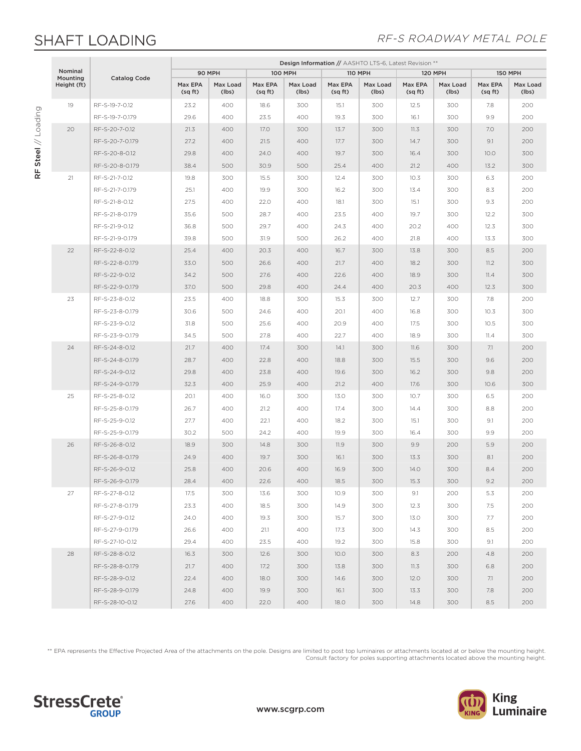## SHAFT LOADING

RF Steel // Loading

RF Steel // Loading

#### RF-S ROADWAY METAL POLE

|                     |                     | Design Information // AASHTO LTS-6, Latest Revision ** |                   |                   |                   |                   |                   |                    |                   |                    |                   |
|---------------------|---------------------|--------------------------------------------------------|-------------------|-------------------|-------------------|-------------------|-------------------|--------------------|-------------------|--------------------|-------------------|
| Nominal<br>Mounting | <b>Catalog Code</b> | 90 MPH                                                 |                   | <b>100 MPH</b>    |                   | <b>110 MPH</b>    |                   | <b>120 MPH</b>     |                   | <b>150 MPH</b>     |                   |
| Height (ft)         |                     | Max EPA<br>(sq ft)                                     | Max Load<br>(lbs) | Max EPA<br>(sqft) | Max Load<br>(lbs) | Max EPA<br>(sqft) | Max Load<br>(lbs) | Max EPA<br>(sq ft) | Max Load<br>(lbs) | Max EPA<br>(sq ft) | Max Load<br>(lbs) |
| 19                  | RF-S-19-7-0.12      | 23.2                                                   | 400               | 18.6              | 300               | 15.1              | 300               | 12.5               | 300               | 7.8                | 200               |
|                     | RF-S-19-7-0.179     | 29.6                                                   | 400               | 23.5              | 400               | 19.3              | 300               | 16.1               | 300               | 9.9                | 200               |
| 20                  | RF-S-20-7-0.12      | 21.3                                                   | 400               | 17.0              | 300               | 13.7              | 300               | 11.3               | 300               | 7.0                | 200               |
|                     | RF-S-20-7-0.179     | 27.2                                                   | 400               | 21.5              | 400               | 17.7              | 300               | 14.7               | 300               | 9.1                | 200               |
|                     | RF-S-20-8-0.12      | 29.8                                                   | 400               | 24.0              | 400               | 19.7              | 300               | 16.4               | 300               | 10.0               | 300               |
|                     | RF-S-20-8-0.179     | 38.4                                                   | 500               | 30.9              | 500               | 25.4              | 400               | 21.2               | 400               | 13.2               | 300               |
| 21                  | RF-S-21-7-0.12      | 19.8                                                   | 300               | 15.5              | 300               | 12.4              | 300               | 10.3               | 300               | 6.3                | 200               |
|                     | RF-S-21-7-0.179     | 25.1                                                   | 400               | 19.9              | 300               | 16.2              | 300               | 13.4               | 300               | 8.3                | 200               |
|                     | RF-S-21-8-0.12      | 27.5                                                   | 400               | 22.0              | 400               | 18.1              | 300               | 15.1               | 300               | 9.3                | 200               |
|                     | RF-S-21-8-0.179     | 35.6                                                   | 500               | 28.7              | 400               | 23.5              | 400               | 19.7               | 300               | 12.2               | 300               |
|                     | RF-S-21-9-0.12      | 36.8                                                   | 500               | 29.7              | 400               | 24.3              | 400               | 20.2               | 400               | 12.3               | 300               |
|                     | RF-S-21-9-0.179     | 39.8                                                   | 500               | 31.9              | 500               | 26.2              | 400               | 21.8               | 400               | 13.3               | 300               |
| 22                  | RF-S-22-8-0.12      | 25.4                                                   | 400               | 20.3              | 400               | 16.7              | 300               | 13.8               | 300               | 8.5                | 200               |
|                     | RF-S-22-8-0.179     | 33.0                                                   | 500               | 26.6              | 400               | 21.7              | 400               | 18.2               | 300               | 11.2               | 300               |
|                     | RF-S-22-9-0.12      | 34.2                                                   | 500               | 27.6              | 400               | 22.6              | 400               | 18.9               | 300               | 11.4               | 300               |
|                     | RF-S-22-9-0.179     | 37.0                                                   | 500               | 29.8              | 400               | 24.4              | 400               | 20.3               | 400               | 12.3               | 300               |
| 23                  | RF-S-23-8-0.12      | 23.5                                                   | 400               | 18.8              | 300               | 15.3              | 300               | 12.7               | 300               | 7.8                | 200               |
|                     | RF-S-23-8-0.179     | 30.6                                                   | 500               | 24.6              | 400               | 20.1              | 400               | 16.8               | 300               | 10.3               | 300               |
|                     | RF-S-23-9-0.12      | 31.8                                                   | 500               | 25.6              | 400               | 20.9              | 400               | 17.5               | 300               | 10.5               | 300               |
|                     | RF-S-23-9-0.179     | 34.5                                                   | 500               | 27.8              | 400               | 22.7              | 400               | 18.9               | 300               | 11.4               | 300               |
| 24                  | RF-S-24-8-0.12      | 21.7                                                   | 400               | 17.4              | 300               | 14.1              | 300               | 11.6               | 300               | 7.1                | 200               |
|                     | RF-S-24-8-0.179     | 28.7                                                   | 400               | 22.8              | 400               | 18.8              | 300               | 15.5               | 300               | 9.6                | 200               |
|                     | RF-S-24-9-0.12      | 29.8                                                   | 400               | 23.8              | 400               | 19.6              | 300               | 16.2               | 300               | 9.8                | 200               |
|                     | RF-S-24-9-0.179     | 32.3                                                   | 400               | 25.9              | 400               | 21.2              | 400               | 17.6               | 300               | 10.6               | 300               |
| 25                  | RF-S-25-8-0.12      | 20.1                                                   | 400               | 16.0              | 300               | 13.0              | 300               | 10.7               | 300               | 6.5                | 200               |
|                     | RF-S-25-8-0.179     | 26.7                                                   | 400               | 21.2              | 400               | 17.4              | 300               | 14.4               | 300               | 8.8                | 200               |
|                     | RF-S-25-9-0.12      | 27.7                                                   | 400               | 22.1              | 400               | 18.2              | 300               | 15.1               | 300               | 9.1                | 200               |
|                     | RF-S-25-9-0.179     | 30.2                                                   | 500               | 24.2              | 400               | 19.9              | 300               | 16.4               | 300               | 9.9                | 200               |
| 26                  | RF-S-26-8-0.12      | 18.9                                                   | 300               | 14.8              | 300               | 11.9              | 300               | 9.9                | 200               | 5.9                | 200               |
|                     | RF-S-26-8-0.179     | 24.9                                                   | 400               | 19.7              | 300               | 16.1              | 300               | 13.3               | 300               | 8.1                | 200               |
|                     | RF-S-26-9-0.12      | 25.8                                                   | 400               | 20.6              | 400               | 16.9              | 300               | 14.0               | 300               | 8.4                | 200               |
|                     | RF-S-26-9-0.179     | 28.4                                                   | 400               | 22.6              | 400               | 18.5              | 300               | 15.3               | 300               | 9.2                | 200               |
| 27                  | RF-S-27-8-0.12      | 17.5                                                   | 300               | 13.6              | 300               | 10.9              | 300               | 9.1                | 200               | 5.3                | 200               |
|                     | RF-S-27-8-0.179     | 23.3                                                   | 400               | 18.5              | 300               | 14.9              | 300               | 12.3               | 300               | 7.5                | 200               |
|                     | RF-S-27-9-0.12      | 24.0                                                   | 400               | 19.3              | 300               | 15.7              | 300               | 13.0               | 300               | 7.7                | 200               |
|                     | RF-S-27-9-0.179     | 26.6                                                   | 400               | 21.1              | 400               | 17.3              | 300               | 14.3               | 300               | 8.5                | 200               |
|                     | RF-S-27-10-0.12     | 29.4                                                   | 400               | 23.5              | 400               | 19.2              | 300               | 15.8               | 300               | 9.1                | 200               |
| 28                  | RF-S-28-8-0.12      | 16.3                                                   | 300               | 12.6              | 300               | 10.0              | 300               | 8.3                | 200               | 4.8                | 200               |
|                     | RF-S-28-8-0.179     | 21.7                                                   | 400               | 17.2              | 300               | 13.8              | 300               | 11.3               | 300               | 6.8                | 200               |
|                     | RF-S-28-9-0.12      | 22.4                                                   | 400               | 18.0              | 300               | 14.6              | 300               | 12.0               | 300               | 7.1                | 200               |
|                     | RF-S-28-9-0.179     | 24.8                                                   | 400               | 19.9              | 300               | 16.1              | 300               | 13.3               | 300               | 7.8                | 200               |
|                     | RF-S-28-10-0.12     | 27.6                                                   | 400               | 22.0              | 400               | 18.0              | 300               | 14.8               | 300               | 8.5                | 200               |

\*\* EPA represents the Effective Projected Area of the attachments on the pole. Designs are limited to post top luminaires or attachments located at or below the mounting height. Consult factory for poles supporting attachments located above the mounting height.